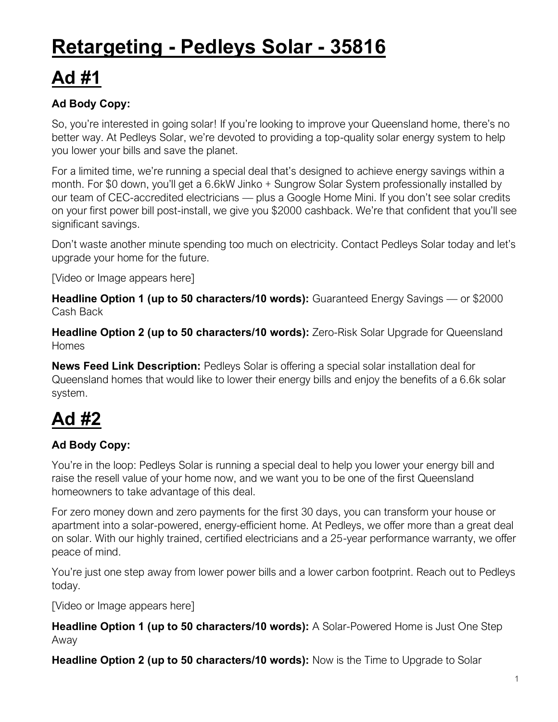# **Retargeting - Pedleys Solar - 35816**

## **Ad #1**

### **Ad Body Copy:**

So, you're interested in going solar! If you're looking to improve your Queensland home, there's no better way. At Pedleys Solar, we're devoted to providing a top-quality solar energy system to help you lower your bills and save the planet.

For a limited time, we're running a special deal that's designed to achieve energy savings within a month. For \$0 down, you'll get a 6.6kW Jinko + Sungrow Solar System professionally installed by our team of CEC-accredited electricians — plus a Google Home Mini. If you don't see solar credits on your first power bill post-install, we give you \$2000 cashback. We're that confident that you'll see significant savings.

Don't waste another minute spending too much on electricity. Contact Pedleys Solar today and let's upgrade your home for the future.

[Video or Image appears here]

**Headline Option 1 (up to 50 characters/10 words):** Guaranteed Energy Savings — or \$2000 Cash Back

**Headline Option 2 (up to 50 characters/10 words):** Zero-Risk Solar Upgrade for Queensland Homes

**News Feed Link Description:** Pedleys Solar is offering a special solar installation deal for Queensland homes that would like to lower their energy bills and enjoy the benefits of a 6.6k solar system.

### **Ad #2**

#### **Ad Body Copy:**

You're in the loop: Pedleys Solar is running a special deal to help you lower your energy bill and raise the resell value of your home now, and we want you to be one of the first Queensland homeowners to take advantage of this deal.

For zero money down and zero payments for the first 30 days, you can transform your house or apartment into a solar-powered, energy-efficient home. At Pedleys, we offer more than a great deal on solar. With our highly trained, certified electricians and a 25-year performance warranty, we offer peace of mind.

You're just one step away from lower power bills and a lower carbon footprint. Reach out to Pedleys today.

[Video or Image appears here]

**Headline Option 1 (up to 50 characters/10 words):** A Solar-Powered Home is Just One Step Away

**Headline Option 2 (up to 50 characters/10 words):** Now is the Time to Upgrade to Solar